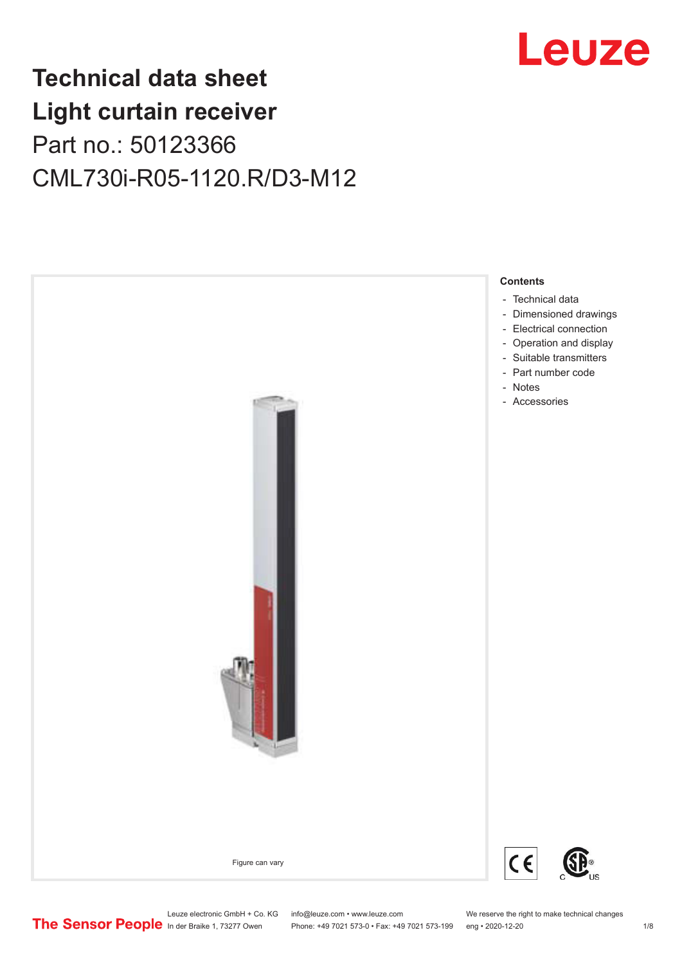## Leuze

## **Technical data sheet Light curtain receiver** Part no.: 50123366 CML730i-R05-1120.R/D3-M12



Leuze electronic GmbH + Co. KG info@leuze.com • www.leuze.com We reserve the right to make technical changes<br>
The Sensor People in der Braike 1, 73277 Owen Phone: +49 7021 573-0 • Fax: +49 7021 573-199 eng • 2020-12-20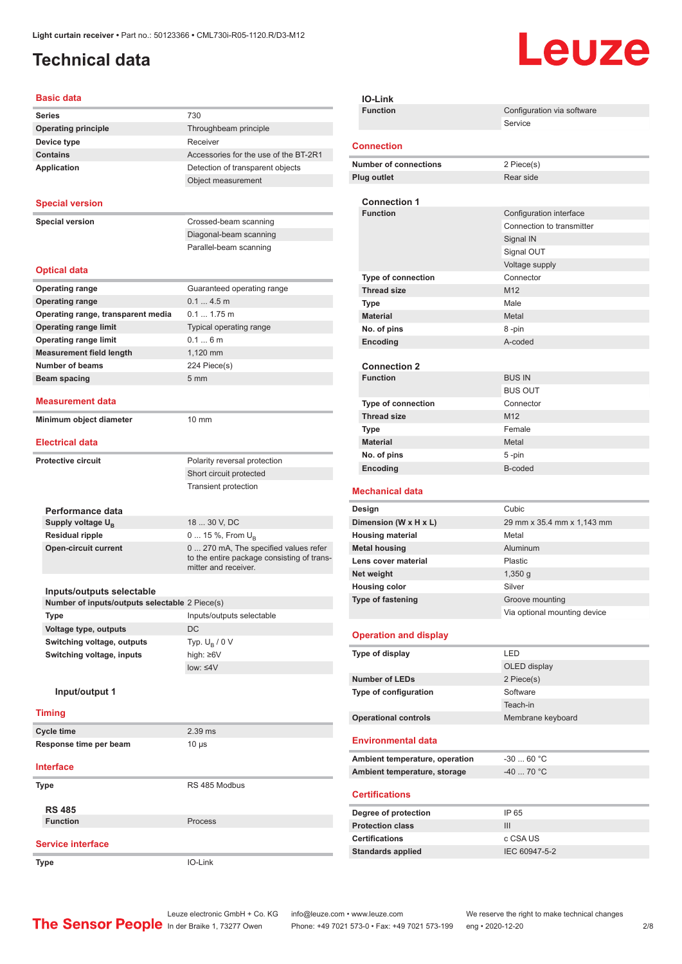### <span id="page-1-0"></span>**Technical data**

# Leuze

#### **Basic data**

| <b>Basic data</b>                              |                                                                    |
|------------------------------------------------|--------------------------------------------------------------------|
| <b>Series</b>                                  | 730                                                                |
| <b>Operating principle</b>                     | Throughbeam principle                                              |
| Device type                                    | Receiver                                                           |
| <b>Contains</b>                                | Accessories for the use of the BT-2R1                              |
| <b>Application</b>                             | Detection of transparent objects                                   |
|                                                | Object measurement                                                 |
|                                                |                                                                    |
| <b>Special version</b>                         |                                                                    |
| <b>Special version</b>                         | Crossed-beam scanning                                              |
|                                                | Diagonal-beam scanning                                             |
|                                                | Parallel-beam scanning                                             |
|                                                |                                                                    |
| <b>Optical data</b>                            |                                                                    |
| <b>Operating range</b>                         | Guaranteed operating range                                         |
| <b>Operating range</b>                         | 0.14.5m                                                            |
| Operating range, transparent media             | 0.1 1.75 m                                                         |
| <b>Operating range limit</b>                   | Typical operating range                                            |
| <b>Operating range limit</b>                   | 0.16m                                                              |
| <b>Measurement field length</b>                | 1.120 mm                                                           |
| <b>Number of beams</b>                         | 224 Piece(s)                                                       |
| <b>Beam spacing</b>                            | 5 <sub>mm</sub>                                                    |
|                                                |                                                                    |
| <b>Measurement data</b>                        |                                                                    |
| Minimum object diameter                        | $10 \text{ mm}$                                                    |
|                                                |                                                                    |
| <b>Electrical data</b>                         |                                                                    |
| <b>Protective circuit</b>                      | Polarity reversal protection                                       |
|                                                | Short circuit protected                                            |
|                                                | <b>Transient protection</b>                                        |
|                                                |                                                                    |
| Performance data                               |                                                                    |
| Supply voltage U <sub>B</sub>                  | 18  30 V, DC                                                       |
| <b>Residual ripple</b>                         | 0  15 %, From $U_{\rm B}$                                          |
| <b>Open-circuit current</b>                    | 0  270 mA, The specified values refer                              |
|                                                | to the entire package consisting of trans-<br>mitter and receiver. |
|                                                |                                                                    |
| Inputs/outputs selectable                      |                                                                    |
| Number of inputs/outputs selectable 2 Piece(s) |                                                                    |
| Type                                           | Inputs/outputs selectable                                          |
| Voltage type, outputs                          | DC                                                                 |
| Switching voltage, outputs                     | Typ. $U_R / 0 V$                                                   |
| Switching voltage, inputs                      | high: ≥6V                                                          |
|                                                | $low: 4V$                                                          |
|                                                |                                                                    |
| Input/output 1                                 |                                                                    |
| <b>Timing</b>                                  |                                                                    |
|                                                |                                                                    |
| Cycle time                                     | 2.39 ms                                                            |
| Response time per beam                         | $10 \mu s$                                                         |
| <b>Interface</b>                               |                                                                    |
| <b>Type</b>                                    | RS 485 Modbus                                                      |
|                                                |                                                                    |
| <b>RS 485</b>                                  |                                                                    |
| <b>Function</b>                                | Process                                                            |
|                                                |                                                                    |
| <b>Service interface</b>                       |                                                                    |
| <b>Type</b>                                    | IO-Link                                                            |

| <b>IO-Link</b>                                     |                              |
|----------------------------------------------------|------------------------------|
| <b>Function</b>                                    | Configuration via software   |
|                                                    | Service                      |
| <b>Connection</b>                                  |                              |
|                                                    |                              |
| <b>Number of connections</b><br><b>Plug outlet</b> | 2 Piece(s)<br>Rear side      |
|                                                    |                              |
| <b>Connection 1</b>                                |                              |
| <b>Function</b>                                    | Configuration interface      |
|                                                    | Connection to transmitter    |
|                                                    | Signal IN                    |
|                                                    | Signal OUT                   |
|                                                    | Voltage supply               |
| Type of connection                                 | Connector<br>M12             |
| <b>Thread size</b><br>Type                         | Male                         |
| <b>Material</b>                                    | Metal                        |
| No. of pins                                        | 8-pin                        |
| Encoding                                           | A-coded                      |
|                                                    |                              |
| <b>Connection 2</b>                                |                              |
| <b>Function</b>                                    | <b>BUS IN</b>                |
|                                                    | <b>BUS OUT</b>               |
| <b>Type of connection</b><br><b>Thread size</b>    | Connector<br>M12             |
| Type                                               | Female                       |
| <b>Material</b>                                    | Metal                        |
| No. of pins                                        | 5-pin                        |
| Encoding                                           | B-coded                      |
|                                                    |                              |
|                                                    |                              |
| <b>Mechanical data</b>                             |                              |
| Design                                             | Cubic                        |
| Dimension (W x H x L)                              | 29 mm x 35.4 mm x 1,143 mm   |
| <b>Housing material</b>                            | Metal                        |
| <b>Metal housing</b>                               | Aluminum                     |
| Lens cover material                                | Plastic<br>1,350q            |
| Net weight<br><b>Housing color</b>                 | Silver                       |
| Type of fastening                                  | Groove mounting              |
|                                                    | Via optional mounting device |
|                                                    |                              |
| <b>Operation and display</b>                       |                              |
| Type of display                                    | LED                          |
|                                                    | OLED display                 |
| <b>Number of LEDs</b>                              | 2 Piece(s)                   |
| Type of configuration                              | Software                     |
|                                                    | Teach-in                     |
| <b>Operational controls</b>                        | Membrane keyboard            |
| <b>Environmental data</b>                          |                              |
| Ambient temperature, operation                     | $-3060 °C$                   |
| Ambient temperature, storage                       | $-4070 °C$                   |
|                                                    |                              |
| <b>Certifications</b>                              |                              |
| Degree of protection                               | IP 65                        |
| <b>Protection class</b>                            | III                          |
| <b>Certifications</b>                              | c CSA US                     |
| <b>Standards applied</b>                           | IEC 60947-5-2                |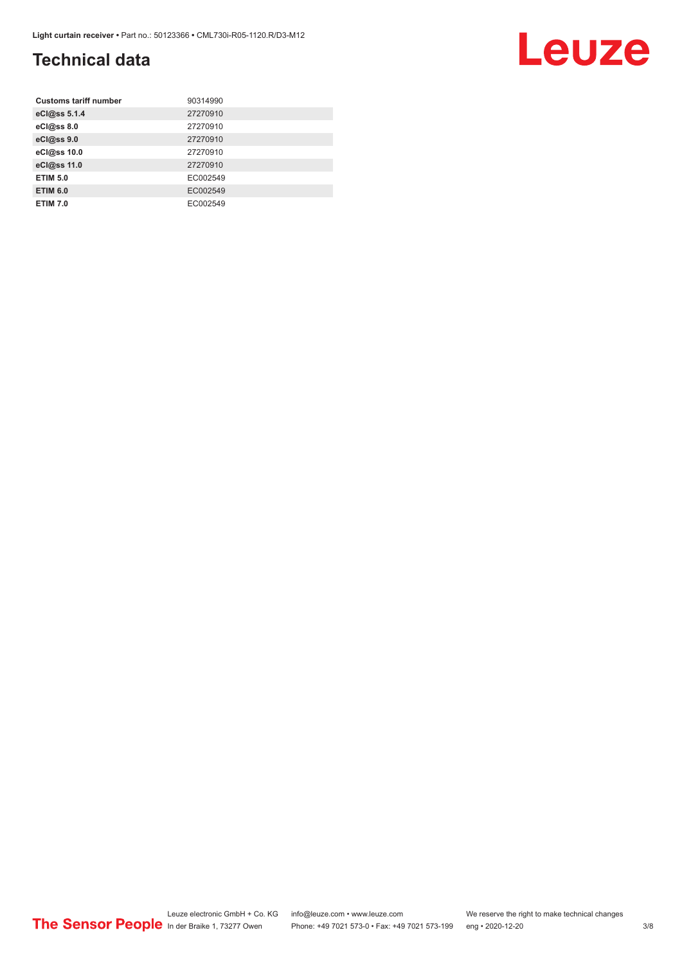### **Technical data**

| <b>Customs tariff number</b> | 90314990 |
|------------------------------|----------|
| eCl@ss 5.1.4                 | 27270910 |
| eCl@ss 8.0                   | 27270910 |
| eCl@ss 9.0                   | 27270910 |
| eCl@ss 10.0                  | 27270910 |
| eCl@ss 11.0                  | 27270910 |
| <b>ETIM 5.0</b>              | EC002549 |
| <b>ETIM 6.0</b>              | EC002549 |
| <b>ETIM 7.0</b>              | EC002549 |

#### Leuze electronic GmbH + Co. KG info@leuze.com • www.leuze.com We reserve the right to make technical changes ln der Braike 1, 73277 Owen Phone: +49 7021 573-0 • Fax: +49 7021 573-199 eng • 2020-12-20 3/8

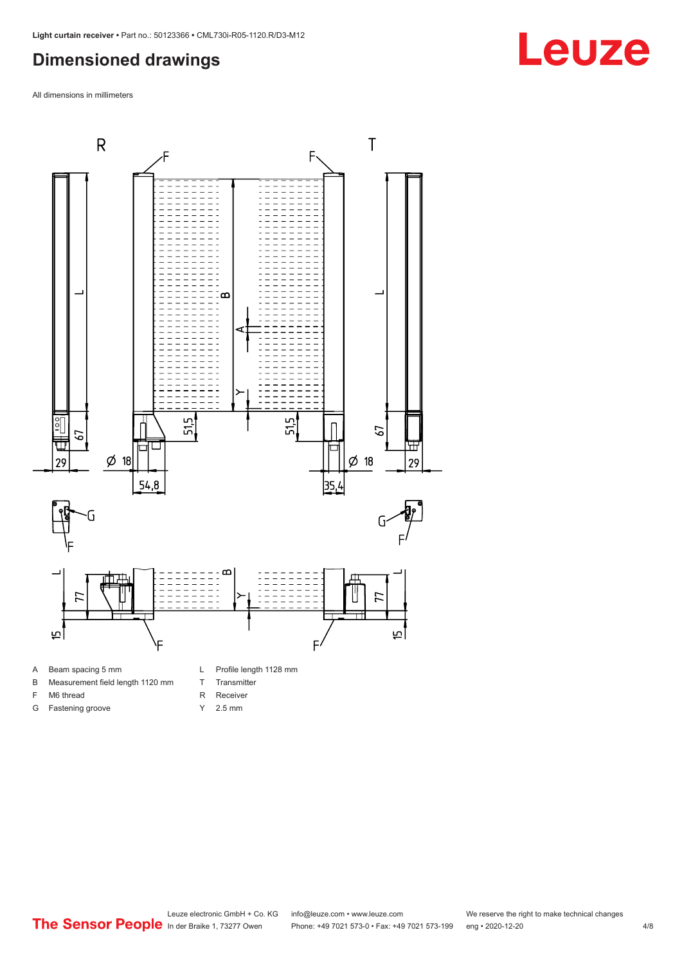#### <span id="page-3-0"></span>**Dimensioned drawings**

All dimensions in millimeters



- B Measurement field length 1120 mm
- F M6 thread
- G Fastening groove
- 
- T Transmitter
- R Receiver
- Y 2.5 mm



## **Leuze**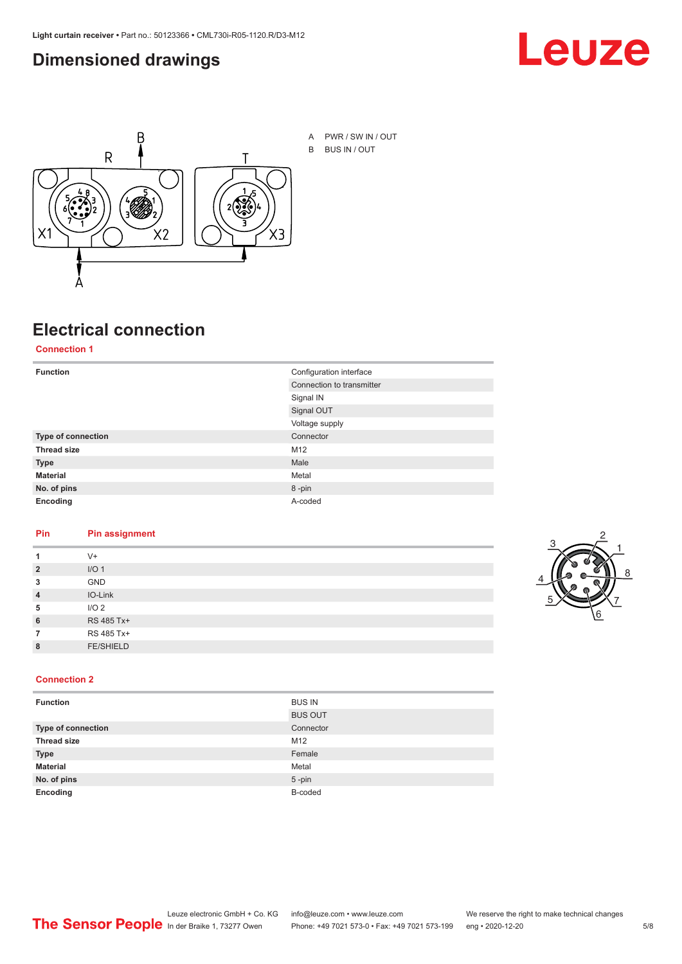#### <span id="page-4-0"></span>**Dimensioned drawings**





## **Electrical connection**

**Connection 1**

| <b>Function</b>    | Configuration interface   |
|--------------------|---------------------------|
|                    | Connection to transmitter |
|                    | Signal IN                 |
|                    | Signal OUT                |
|                    | Voltage supply            |
| Type of connection | Connector                 |
| <b>Thread size</b> | M12                       |
| <b>Type</b>        | Male                      |
| <b>Material</b>    | Metal                     |
| No. of pins        | 8-pin                     |
| Encoding           | A-coded                   |

#### **Pin Pin assignment**

| 1              | $V +$            |  |  |
|----------------|------------------|--|--|
| $\overline{2}$ | I/O <sub>1</sub> |  |  |
| 3              | <b>GND</b>       |  |  |
| $\overline{4}$ | IO-Link          |  |  |
| 5              | I/O <sub>2</sub> |  |  |
| 6              | RS 485 Tx+       |  |  |
| 7              | RS 485 Tx+       |  |  |
| 8              | <b>FE/SHIELD</b> |  |  |
|                |                  |  |  |



#### **Connection 2**

| <b>Function</b>    | <b>BUS IN</b>  |
|--------------------|----------------|
|                    | <b>BUS OUT</b> |
| Type of connection | Connector      |
| <b>Thread size</b> | M12            |
| <b>Type</b>        | Female         |
| <b>Material</b>    | Metal          |
| No. of pins        | $5 - pin$      |
| Encoding           | B-coded        |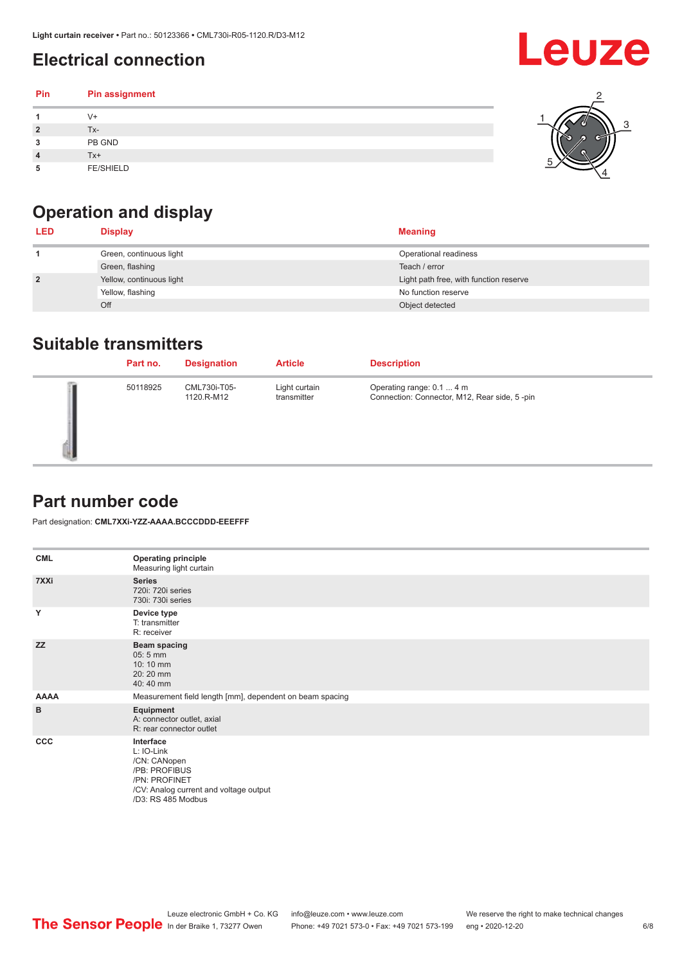### <span id="page-5-0"></span>**Electrical connection**

#### **Pin Pin assignment 1** V+ **2** Tx-**3** PB GND **4** Tx+ **5** FE/SHIELD 3 2 1 5 4

### **Operation and display**

| <b>LED</b>     | <b>Display</b>           | <b>Meaning</b>                         |
|----------------|--------------------------|----------------------------------------|
|                | Green, continuous light  | Operational readiness                  |
|                | Green, flashing          | Teach / error                          |
| $\overline{2}$ | Yellow, continuous light | Light path free, with function reserve |
|                | Yellow, flashing         | No function reserve                    |
|                | Off                      | Object detected                        |

#### **Suitable transmitters**

| Part no. | <b>Designation</b>         | <b>Article</b>               | <b>Description</b>                                                        |
|----------|----------------------------|------------------------------|---------------------------------------------------------------------------|
| 50118925 | CML730i-T05-<br>1120.R-M12 | Light curtain<br>transmitter | Operating range: 0.1  4 m<br>Connection: Connector, M12, Rear side, 5-pin |

#### **Part number code**

Part designation: **CML7XXi-YZZ-AAAA.BCCCDDD-EEEFFF**

| <b>CML</b>  | <b>Operating principle</b><br>Measuring light curtain                                                                                     |
|-------------|-------------------------------------------------------------------------------------------------------------------------------------------|
| 7XXi        | <b>Series</b><br>720i: 720i series<br>730i: 730i series                                                                                   |
| Y           | Device type<br>T: transmitter<br>R: receiver                                                                                              |
| <b>ZZ</b>   | <b>Beam spacing</b><br>$05:5$ mm<br>10:10 mm<br>20:20 mm<br>40:40 mm                                                                      |
| <b>AAAA</b> | Measurement field length [mm], dependent on beam spacing                                                                                  |
| B           | Equipment<br>A: connector outlet, axial<br>R: rear connector outlet                                                                       |
| CCC         | Interface<br>L: IO-Link<br>/CN: CANopen<br>/PB: PROFIBUS<br>/PN: PROFINET<br>/CV: Analog current and voltage output<br>/D3: RS 485 Modbus |

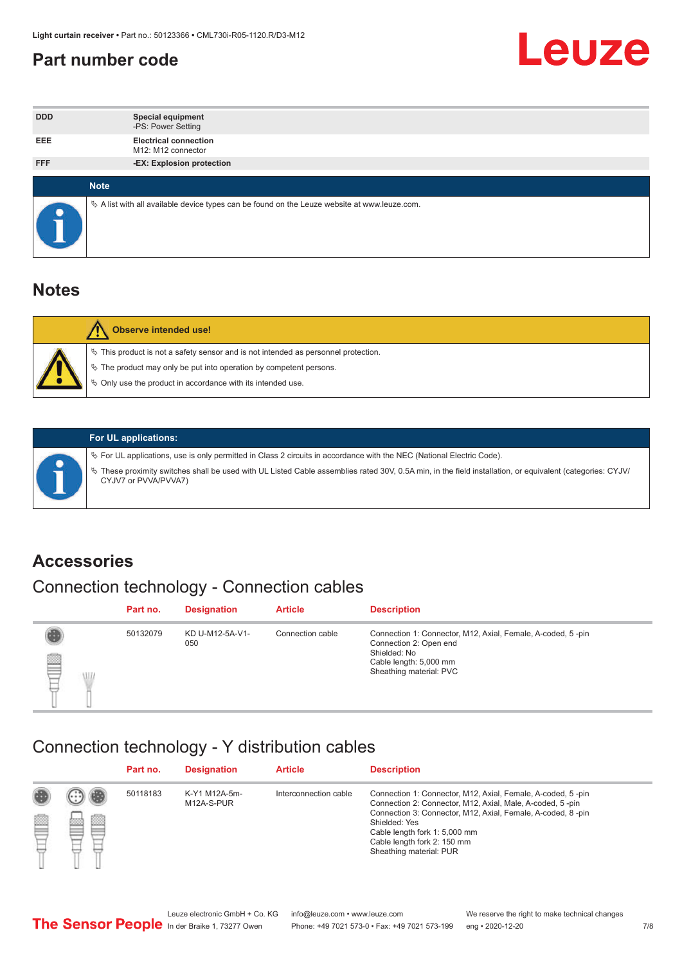#### <span id="page-6-0"></span>**Part number code**



| <b>DDD</b> | <b>Special equipment</b><br>-PS: Power Setting                                                  |
|------------|-------------------------------------------------------------------------------------------------|
| <b>EEE</b> | <b>Electrical connection</b><br>M12: M12 connector                                              |
| <b>FFF</b> | -EX: Explosion protection                                                                       |
|            | <b>Note</b>                                                                                     |
|            |                                                                                                 |
|            | $\&$ A list with all available device types can be found on the Leuze website at www.leuze.com. |

#### **Notes**

| <b>Observe intended use!</b>                                                                                                                                                                                                  |
|-------------------------------------------------------------------------------------------------------------------------------------------------------------------------------------------------------------------------------|
| $\%$ This product is not a safety sensor and is not intended as personnel protection.<br>$\%$ The product may only be put into operation by competent persons.<br>♦ Only use the product in accordance with its intended use. |



#### **For UL applications:**

ª For UL applications, use is only permitted in Class 2 circuits in accordance with the NEC (National Electric Code). ª These proximity switches shall be used with UL Listed Cable assemblies rated 30V, 0.5A min, in the field installation, or equivalent (categories: CYJV/ CYJV7 or PVVA/PVVA7)

#### **Accessories**

### Connection technology - Connection cables

|        | Part no. | <b>Designation</b>     | <b>Article</b>   | <b>Description</b>                                                                                                                                         |
|--------|----------|------------------------|------------------|------------------------------------------------------------------------------------------------------------------------------------------------------------|
| 2<br>W | 50132079 | KD U-M12-5A-V1-<br>050 | Connection cable | Connection 1: Connector, M12, Axial, Female, A-coded, 5-pin<br>Connection 2: Open end<br>Shielded: No<br>Cable length: 5,000 mm<br>Sheathing material: PVC |

#### Connection technology - Y distribution cables

|             |   | Part no. | <b>Designation</b>          | <b>Article</b>        | <b>Description</b>                                                                                                                                                                                                                                                                                  |
|-------------|---|----------|-----------------------------|-----------------------|-----------------------------------------------------------------------------------------------------------------------------------------------------------------------------------------------------------------------------------------------------------------------------------------------------|
| 圔<br>⋿<br>٣ | ø | 50118183 | K-Y1 M12A-5m-<br>M12A-S-PUR | Interconnection cable | Connection 1: Connector, M12, Axial, Female, A-coded, 5-pin<br>Connection 2: Connector, M12, Axial, Male, A-coded, 5-pin<br>Connection 3: Connector, M12, Axial, Female, A-coded, 8-pin<br>Shielded: Yes<br>Cable length fork 1: 5,000 mm<br>Cable length fork 2: 150 mm<br>Sheathing material: PUR |